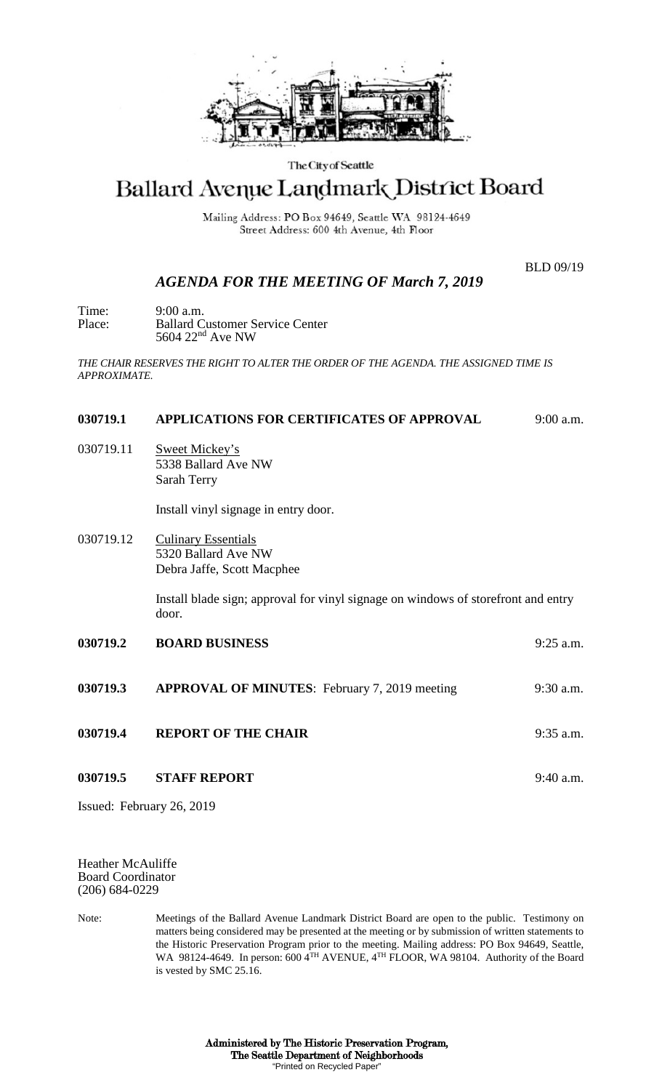

#### The City of Seattle

# Ballard Avenue Landmark District Board

Mailing Address: PO Box 94649, Seattle WA 98124-4649 Street Address: 600 4th Avenue, 4th Floor

BLD 09/19

## *AGENDA FOR THE MEETING OF March 7, 2019*

Time: 9:00 a.m.<br>Place: Ballard C **Ballard Customer Service Center** 5604 22nd Ave NW

*THE CHAIR RESERVES THE RIGHT TO ALTER THE ORDER OF THE AGENDA. THE ASSIGNED TIME IS APPROXIMATE.*

#### **030719.1 APPLICATIONS FOR CERTIFICATES OF APPROVAL** 9:00 a.m.

030719.11 Sweet Mickey's 5338 Ballard Ave NW Sarah Terry

Install vinyl signage in entry door.

030719.12 Culinary Essentials 5320 Ballard Ave NW Debra Jaffe, Scott Macphee

> Install blade sign; approval for vinyl signage on windows of storefront and entry door.

- **030719.2 BOARD BUSINESS** 9:25 a.m. **030719.3 APPROVAL OF MINUTES**: February 7, 2019 meeting 9:30 a.m. **030719.4 REPORT OF THE CHAIR** 9:35 a.m.
- **030719.5 STAFF REPORT** 9:40 a.m.

Issued: February 26, 2019

Heather McAuliffe Board Coordinator (206) 684-0229

Note: Meetings of the Ballard Avenue Landmark District Board are open to the public. Testimony on matters being considered may be presented at the meeting or by submission of written statements to the Historic Preservation Program prior to the meeting. Mailing address: PO Box 94649, Seattle, WA 98124-4649. In person: 600 4TH AVENUE, 4TH FLOOR, WA 98104. Authority of the Board is vested by SMC 25.16.